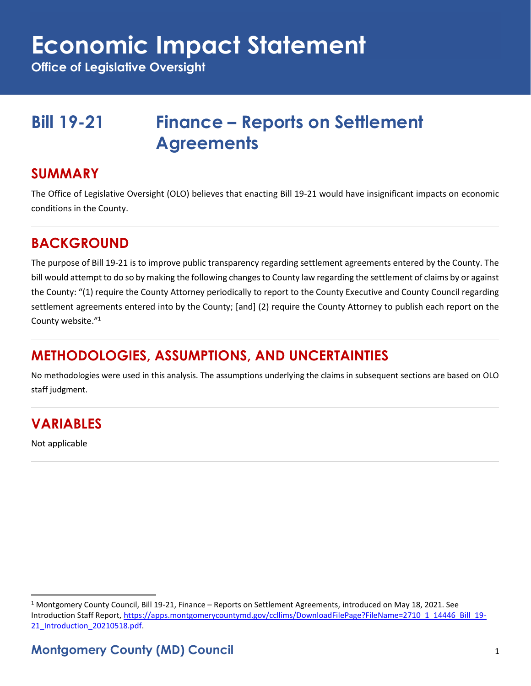## **Economic Impact Statement**

**Office of Legislative Oversight**

## **Bill 19-21 Finance – Reports on Settlement Agreements**

#### **SUMMARY**

The Office of Legislative Oversight (OLO) believes that enacting Bill 19-21 would have insignificant impacts on economic conditions in the County.

#### **BACKGROUND**

The purpose of Bill 19-21 is to improve public transparency regarding settlement agreements entered by the County. The bill would attempt to do so by making the following changes to County law regarding the settlement of claims by or against the County: "(1) require the County Attorney periodically to report to the County Executive and County Council regarding settlement agreements entered into by the County; [and] (2) require the County Attorney to publish each report on the County website."<sup>1</sup>

### **METHODOLOGIES, ASSUMPTIONS, AND UNCERTAINTIES**

No methodologies were used in this analysis. The assumptions underlying the claims in subsequent sections are based on OLO staff judgment.

### **VARIABLES**

Not applicable

 $1$  Montgomery County Council, Bill 19-21, Finance – Reports on Settlement Agreements, introduced on May 18, 2021. See Introduction Staff Report[, https://apps.montgomerycountymd.gov/ccllims/DownloadFilePage?FileName=2710\\_1\\_14446\\_Bill\\_19-](https://apps.montgomerycountymd.gov/ccllims/DownloadFilePage?FileName=2710_1_14446_Bill_19-21_Introduction_20210518.pdf) [21\\_Introduction\\_20210518.pdf.](https://apps.montgomerycountymd.gov/ccllims/DownloadFilePage?FileName=2710_1_14446_Bill_19-21_Introduction_20210518.pdf)